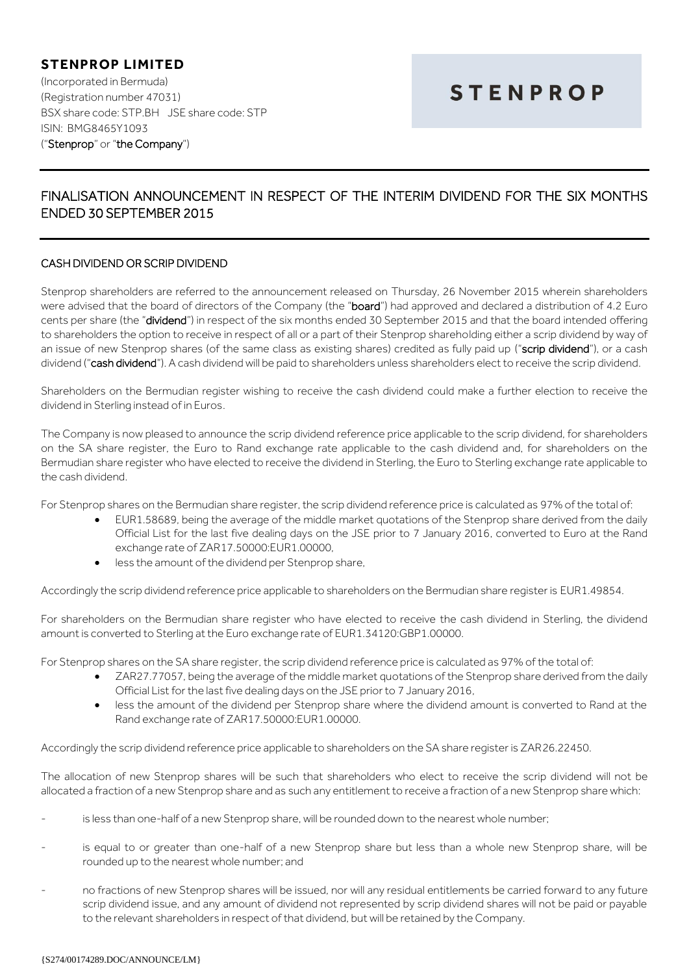**STENPROP LIMITED** (Incorporated in Bermuda) (Registration number 47031) BSX share code: STP.BH JSE share code: STP ISIN: BMG8465Y1093 ("Stenprop" or "the Company")

## **STENPROP**

## FINALISATION ANNOUNCEMENT IN RESPECT OF THE INTERIM DIVIDEND FOR THE SIX MONTHS ENDED 30 SEPTEMBER 2015

## CASH DIVIDEND OR SCRIP DIVIDEND

Stenprop shareholders are referred to the announcement released on Thursday, 26 November 2015 wherein shareholders were advised that the board of directors of the Company (the "board") had approved and declared a distribution of 4.2 Euro cents per share (the "dividend") in respect of the six months ended 30 September 2015 and that the board intended offering to shareholders the option to receive in respect of all or a part of their Stenprop shareholding either a scrip dividend by way of an issue of new Stenprop shares (of the same class as existing shares) credited as fully paid up ("scrip dividend"), or a cash dividend ("cash dividend"). A cash dividend will be paid to shareholders unless shareholders elect to receive the scrip dividend.

Shareholders on the Bermudian register wishing to receive the cash dividend could make a further election to receive the dividend in Sterling instead of in Euros.

The Company is now pleased to announce the scrip dividend reference price applicable to the scrip dividend, for shareholders on the SA share register, the Euro to Rand exchange rate applicable to the cash dividend and, for shareholders on the Bermudian share register who have elected to receive the dividend in Sterling, the Euro to Sterling exchange rate applicable to the cash dividend.

For Stenprop shares on the Bermudian share register, the scrip dividend reference price is calculated as 97% of the total of:

- EUR1.58689, being the average of the middle market quotations of the Stenprop share derived from the daily Official List for the last five dealing days on the JSE prior to 7 January 2016, converted to Euro at the Rand exchange rate of ZAR17.50000:EUR1.00000,
- less the amount of the dividend per Stenprop share,

Accordingly the scrip dividend reference price applicable to shareholders on the Bermudian share register is EUR1.49854.

For shareholders on the Bermudian share register who have elected to receive the cash dividend in Sterling, the dividend amount is converted to Sterling at the Euro exchange rate of EUR1.34120:GBP1.00000.

For Stenprop shares on the SA share register, the scrip dividend reference price is calculated as 97% of the total of:

- ZAR27.77057, being the average of the middle market quotations of the Stenprop share derived from the daily Official List for the last five dealing days on the JSE prior to 7 January 2016,
- less the amount of the dividend per Stenprop share where the dividend amount is converted to Rand at the Rand exchange rate of ZAR17.50000:EUR1.00000.

Accordingly the scrip dividend reference price applicable to shareholders on the SA share register is ZAR26.22450.

The allocation of new Stenprop shares will be such that shareholders who elect to receive the scrip dividend will not be allocated a fraction of a new Stenprop share and as such any entitlement to receive a fraction of a new Stenprop share which:

- is less than one-half of a new Stenprop share, will be rounded down to the nearest whole number;
- is equal to or greater than one-half of a new Stenprop share but less than a whole new Stenprop share, will be rounded up to the nearest whole number; and
- no fractions of new Stenprop shares will be issued, nor will any residual entitlements be carried forward to any future scrip dividend issue, and any amount of dividend not represented by scrip dividend shares will not be paid or payable to the relevant shareholders in respect of that dividend, but will be retained by the Company.